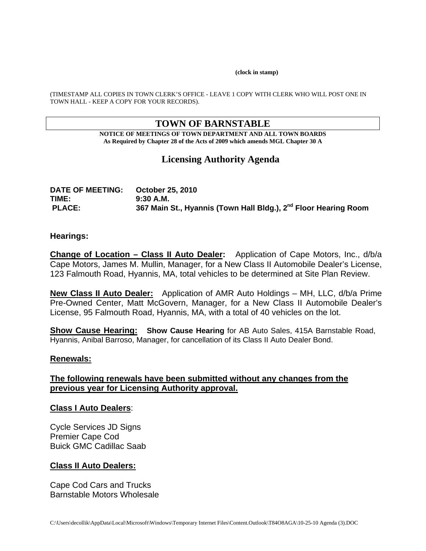#### **(clock in stamp)**

(TIMESTAMP ALL COPIES IN TOWN CLERK'S OFFICE - LEAVE 1 COPY WITH CLERK WHO WILL POST ONE IN TOWN HALL - KEEP A COPY FOR YOUR RECORDS).

# **TOWN OF BARNSTABLE**

**NOTICE OF MEETINGS OF TOWN DEPARTMENT AND ALL TOWN BOARDS As Required by Chapter 28 of the Acts of 2009 which amends MGL Chapter 30 A** 

# **Licensing Authority Agenda**

| <b>DATE OF MEETING:</b> | October 25, 2010                                                            |
|-------------------------|-----------------------------------------------------------------------------|
| TIME:                   | 9:30 A.M.                                                                   |
| <b>PLACE:</b>           | 367 Main St., Hyannis (Town Hall Bldg.), 2 <sup>nd</sup> Floor Hearing Room |

#### **Hearings:**

**Change of Location – Class II Auto Dealer:** Application of Cape Motors, Inc., d/b/a Cape Motors, James M. Mullin, Manager, for a New Class II Automobile Dealer's License, 123 Falmouth Road, Hyannis, MA, total vehicles to be determined at Site Plan Review.

**New Class II Auto Dealer:** Application of AMR Auto Holdings – MH, LLC, d/b/a Prime Pre-Owned Center, Matt McGovern, Manager, for a New Class II Automobile Dealer's License, 95 Falmouth Road, Hyannis, MA, with a total of 40 vehicles on the lot.

**Show Cause Hearing: Show Cause Hearing** for AB Auto Sales, 415A Barnstable Road, Hyannis, Anibal Barroso, Manager, for cancellation of its Class II Auto Dealer Bond.

#### **Renewals:**

### **The following renewals have been submitted without any changes from the previous year for Licensing Authority approval.**

#### **Class I Auto Dealers**:

Cycle Services JD Signs Premier Cape Cod Buick GMC Cadillac Saab

#### **Class II Auto Dealers:**

Cape Cod Cars and Trucks Barnstable Motors Wholesale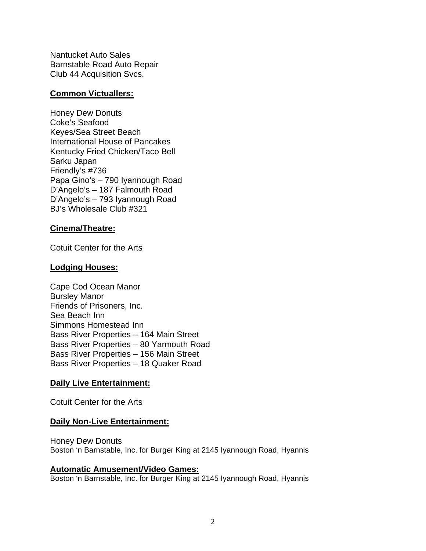Nantucket Auto Sales Barnstable Road Auto Repair Club 44 Acquisition Svcs.

### **Common Victuallers:**

Honey Dew Donuts Coke's Seafood Keyes/Sea Street Beach International House of Pancakes Kentucky Fried Chicken/Taco Bell Sarku Japan Friendly's #736 Papa Gino's – 790 Iyannough Road D'Angelo's – 187 Falmouth Road D'Angelo's – 793 Iyannough Road BJ's Wholesale Club #321

### **Cinema/Theatre:**

Cotuit Center for the Arts

### **Lodging Houses:**

Cape Cod Ocean Manor Bursley Manor Friends of Prisoners, Inc. Sea Beach Inn Simmons Homestead Inn Bass River Properties – 164 Main Street Bass River Properties – 80 Yarmouth Road Bass River Properties – 156 Main Street Bass River Properties – 18 Quaker Road

### **Daily Live Entertainment:**

Cotuit Center for the Arts

### **Daily Non-Live Entertainment:**

Honey Dew Donuts Boston 'n Barnstable, Inc. for Burger King at 2145 Iyannough Road, Hyannis

#### **Automatic Amusement/Video Games:**

Boston 'n Barnstable, Inc. for Burger King at 2145 Iyannough Road, Hyannis